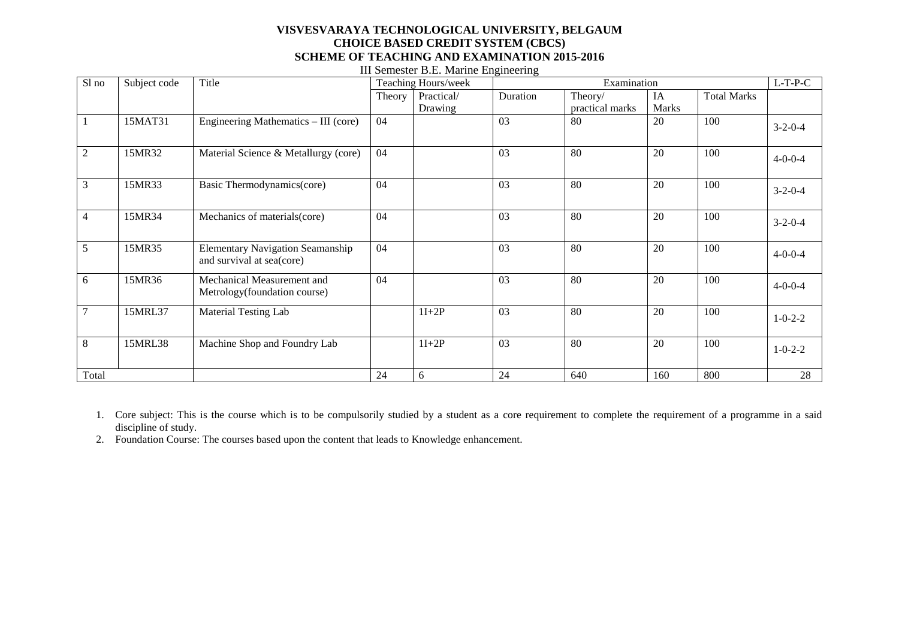## **VISVESVARAYA TECHNOLOGICAL UNIVERSITY, BELGAUM CHOICE BASED CREDIT SYSTEM (CBCS) SCHEME OF TEACHING AND EXAMINATION 2015-2016**

| Sl no          | Subject code | Title                                                                | Teaching Hours/week |            | Examination |                 |              |                    | $L-T-P-C$       |
|----------------|--------------|----------------------------------------------------------------------|---------------------|------------|-------------|-----------------|--------------|--------------------|-----------------|
|                |              |                                                                      | Theory              | Practical/ | Duration    | Theory/         | IA           | <b>Total Marks</b> |                 |
|                |              |                                                                      |                     | Drawing    |             | practical marks | <b>Marks</b> |                    |                 |
|                | 15MAT31      | Engineering Mathematics – III (core)                                 | 04                  |            | 03          | 80              | 20           | 100                | $3 - 2 - 0 - 4$ |
| $\overline{2}$ | 15MR32       | Material Science & Metallurgy (core)                                 | 04                  |            | 03          | 80              | 20           | 100                | $4 - 0 - 0 - 4$ |
| 3              | 15MR33       | Basic Thermodynamics(core)                                           | 04                  |            | 03          | 80              | 20           | 100                | $3 - 2 - 0 - 4$ |
| $\overline{4}$ | 15MR34       | Mechanics of materials (core)                                        | 04                  |            | 03          | 80              | 20           | 100                | $3-2-0-4$       |
| 5              | 15MR35       | <b>Elementary Navigation Seamanship</b><br>and survival at sea(core) | 04                  |            | 03          | 80              | 20           | 100                | $4 - 0 - 0 - 4$ |
| 6              | 15MR36       | Mechanical Measurement and<br>Metrology (foundation course)          | 04                  |            | 03          | 80              | 20           | 100                | $4 - 0 - 0 - 4$ |
| $\tau$         | 15MRL37      | Material Testing Lab                                                 |                     | $1I+2P$    | 03          | 80              | 20           | 100                | $1 - 0 - 2 - 2$ |
| 8              | 15MRL38      | Machine Shop and Foundry Lab                                         |                     | $1I+2P$    | 03          | 80              | 20           | 100                | $1 - 0 - 2 - 2$ |
| Total          |              |                                                                      | 24                  | 6          | 24          | 640             | 160          | 800                | 28              |

III Semester B.E. Marine Engineering

- 1. Core subject: This is the course which is to be compulsorily studied by a student as a core requirement to complete the requirement of a programme in a said discipline of study.
- 2. Foundation Course: The courses based upon the content that leads to Knowledge enhancement.